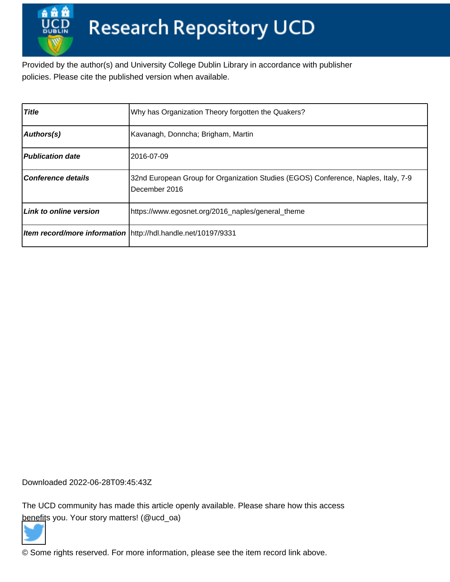Provided by the author(s) and University College Dublin Library in accordance with publisher policies. Please cite the published version when available.

| <b>Title</b>              | Why has Organization Theory forgotten the Quakers?                                                  |
|---------------------------|-----------------------------------------------------------------------------------------------------|
| Authors(s)                | Kavanagh, Donncha; Brigham, Martin                                                                  |
| <b>Publication date</b>   | 2016-07-09                                                                                          |
| <b>Conference details</b> | 32nd European Group for Organization Studies (EGOS) Conference, Naples, Italy, 7-9<br>December 2016 |
| Link to online version    | https://www.egosnet.org/2016_naples/general_theme                                                   |
|                           | Item record/more information \http://hdl.handle.net/10197/9331                                      |

Downloaded 2022-06-28T09:45:43Z

The UCD community has made this article openly available. Please share how this access [benefit](https://twitter.com/intent/tweet?via=ucd_oa&text=Why+has+Organization+Theory+forgotten...&url=http%3A%2F%2Fhdl.handle.net%2F10197%2F9331)s you. Your story matters! (@ucd\_oa)



© Some rights reserved. For more information, please see the item record link above.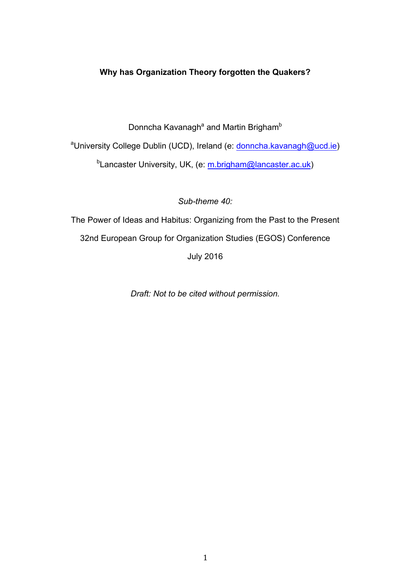# **Why has Organization Theory forgotten the Quakers?**

Donncha Kavanagh<sup>a</sup> and Martin Brigham<sup>b</sup>

<sup>a</sup>University College Dublin (UCD), Ireland (e: donncha.kavanagh@ucd.ie) <sup>b</sup>Lancaster University, UK, (e: <u>m.brigham@lancaster.ac.uk</u>)

*Sub-theme 40:* 

The Power of Ideas and Habitus: Organizing from the Past to the Present 32nd European Group for Organization Studies (EGOS) Conference July 2016

*Draft: Not to be cited without permission.*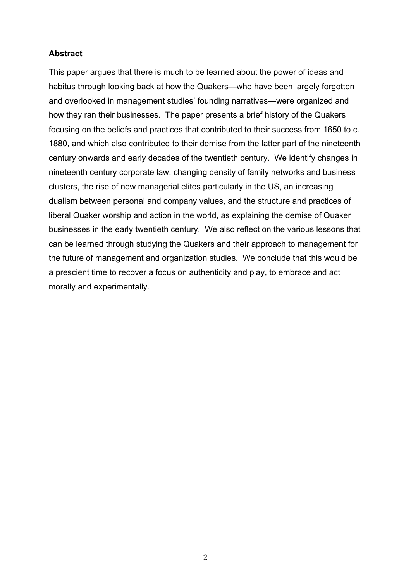# **Abstract**

This paper argues that there is much to be learned about the power of ideas and habitus through looking back at how the Quakers—who have been largely forgotten and overlooked in management studies' founding narratives—were organized and how they ran their businesses. The paper presents a brief history of the Quakers focusing on the beliefs and practices that contributed to their success from 1650 to c. 1880, and which also contributed to their demise from the latter part of the nineteenth century onwards and early decades of the twentieth century. We identify changes in nineteenth century corporate law, changing density of family networks and business clusters, the rise of new managerial elites particularly in the US, an increasing dualism between personal and company values, and the structure and practices of liberal Quaker worship and action in the world, as explaining the demise of Quaker businesses in the early twentieth century. We also reflect on the various lessons that can be learned through studying the Quakers and their approach to management for the future of management and organization studies. We conclude that this would be a prescient time to recover a focus on authenticity and play, to embrace and act morally and experimentally.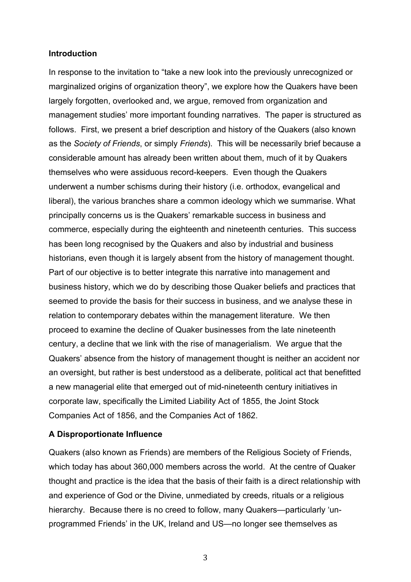### **Introduction**

In response to the invitation to "take a new look into the previously unrecognized or marginalized origins of organization theory", we explore how the Quakers have been largely forgotten, overlooked and, we argue, removed from organization and management studies' more important founding narratives. The paper is structured as follows. First, we present a brief description and history of the Quakers (also known as the *Society of Friends*, or simply *Friends*). This will be necessarily brief because a considerable amount has already been written about them, much of it by Quakers themselves who were assiduous record-keepers. Even though the Quakers underwent a number schisms during their history (i.e. orthodox, evangelical and liberal), the various branches share a common ideology which we summarise. What principally concerns us is the Quakers' remarkable success in business and commerce, especially during the eighteenth and nineteenth centuries. This success has been long recognised by the Quakers and also by industrial and business historians, even though it is largely absent from the history of management thought. Part of our objective is to better integrate this narrative into management and business history, which we do by describing those Quaker beliefs and practices that seemed to provide the basis for their success in business, and we analyse these in relation to contemporary debates within the management literature. We then proceed to examine the decline of Quaker businesses from the late nineteenth century, a decline that we link with the rise of managerialism. We argue that the Quakers' absence from the history of management thought is neither an accident nor an oversight, but rather is best understood as a deliberate, political act that benefitted a new managerial elite that emerged out of mid-nineteenth century initiatives in corporate law, specifically the Limited Liability Act of 1855, the Joint Stock Companies Act of 1856, and the Companies Act of 1862.

### **A Disproportionate Influence**

Quakers (also known as Friends) are members of the Religious Society of Friends, which today has about 360,000 members across the world. At the centre of Quaker thought and practice is the idea that the basis of their faith is a direct relationship with and experience of God or the Divine, unmediated by creeds, rituals or a religious hierarchy. Because there is no creed to follow, many Quakers—particularly 'unprogrammed Friends' in the UK, Ireland and US—no longer see themselves as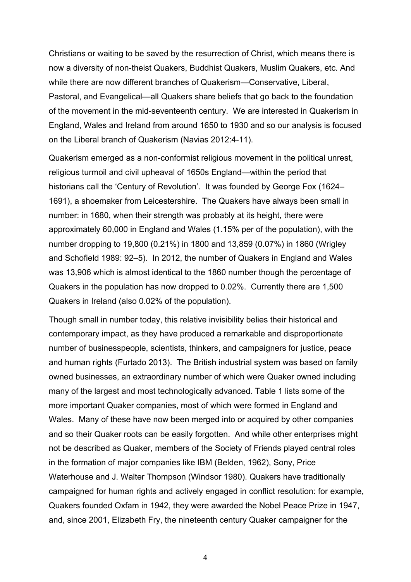Christians or waiting to be saved by the resurrection of Christ, which means there is now a diversity of non-theist Quakers, Buddhist Quakers, Muslim Quakers, etc. And while there are now different branches of Quakerism—Conservative, Liberal, Pastoral, and Evangelical—all Quakers share beliefs that go back to the foundation of the movement in the mid-seventeenth century. We are interested in Quakerism in England, Wales and Ireland from around 1650 to 1930 and so our analysis is focused on the Liberal branch of Quakerism (Navias 2012:4-11).

Quakerism emerged as a non-conformist religious movement in the political unrest, religious turmoil and civil upheaval of 1650s England—within the period that historians call the 'Century of Revolution'. It was founded by George Fox (1624– 1691), a shoemaker from Leicestershire. The Quakers have always been small in number: in 1680, when their strength was probably at its height, there were approximately 60,000 in England and Wales (1.15% per of the population), with the number dropping to 19,800 (0.21%) in 1800 and 13,859 (0.07%) in 1860 (Wrigley and Schofield 1989: 92–5). In 2012, the number of Quakers in England and Wales was 13,906 which is almost identical to the 1860 number though the percentage of Quakers in the population has now dropped to 0.02%. Currently there are 1,500 Quakers in Ireland (also 0.02% of the population).

Though small in number today, this relative invisibility belies their historical and contemporary impact, as they have produced a remarkable and disproportionate number of businesspeople, scientists, thinkers, and campaigners for justice, peace and human rights (Furtado 2013). The British industrial system was based on family owned businesses, an extraordinary number of which were Quaker owned including many of the largest and most technologically advanced. Table 1 lists some of the more important Quaker companies, most of which were formed in England and Wales. Many of these have now been merged into or acquired by other companies and so their Quaker roots can be easily forgotten. And while other enterprises might not be described as Quaker, members of the Society of Friends played central roles in the formation of major companies like IBM (Belden, 1962), Sony, Price Waterhouse and J. Walter Thompson (Windsor 1980). Quakers have traditionally campaigned for human rights and actively engaged in conflict resolution: for example, Quakers founded Oxfam in 1942, they were awarded the Nobel Peace Prize in 1947, and, since 2001, Elizabeth Fry, the nineteenth century Quaker campaigner for the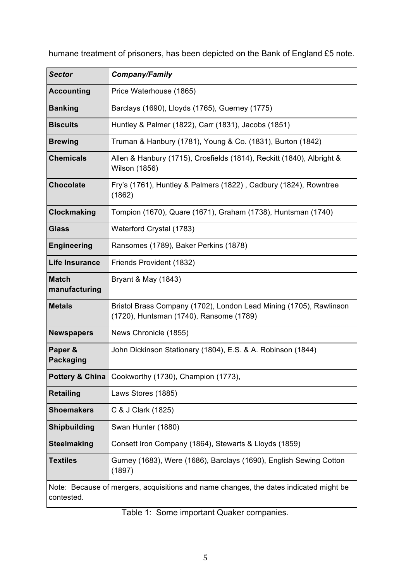humane treatment of prisoners, has been depicted on the Bank of England £5 note.

| <b>Sector</b>                                                                                       | <b>Company/Family</b>                                                                                         |  |
|-----------------------------------------------------------------------------------------------------|---------------------------------------------------------------------------------------------------------------|--|
| <b>Accounting</b>                                                                                   | Price Waterhouse (1865)                                                                                       |  |
| <b>Banking</b>                                                                                      | Barclays (1690), Lloyds (1765), Guerney (1775)                                                                |  |
| <b>Biscuits</b>                                                                                     | Huntley & Palmer (1822), Carr (1831), Jacobs (1851)                                                           |  |
| <b>Brewing</b>                                                                                      | Truman & Hanbury (1781), Young & Co. (1831), Burton (1842)                                                    |  |
| <b>Chemicals</b>                                                                                    | Allen & Hanbury (1715), Crosfields (1814), Reckitt (1840), Albright &<br>Wilson (1856)                        |  |
| <b>Chocolate</b>                                                                                    | Fry's (1761), Huntley & Palmers (1822), Cadbury (1824), Rowntree<br>(1862)                                    |  |
| <b>Clockmaking</b>                                                                                  | Tompion (1670), Quare (1671), Graham (1738), Huntsman (1740)                                                  |  |
| <b>Glass</b>                                                                                        | Waterford Crystal (1783)                                                                                      |  |
| <b>Engineering</b>                                                                                  | Ransomes (1789), Baker Perkins (1878)                                                                         |  |
| <b>Life Insurance</b>                                                                               | Friends Provident (1832)                                                                                      |  |
| <b>Match</b><br>manufacturing                                                                       | Bryant & May (1843)                                                                                           |  |
| <b>Metals</b>                                                                                       | Bristol Brass Company (1702), London Lead Mining (1705), Rawlinson<br>(1720), Huntsman (1740), Ransome (1789) |  |
| <b>Newspapers</b>                                                                                   | News Chronicle (1855)                                                                                         |  |
| Paper &<br><b>Packaging</b>                                                                         | John Dickinson Stationary (1804), E.S. & A. Robinson (1844)                                                   |  |
|                                                                                                     | Pottery & China   Cookworthy (1730), Champion (1773),                                                         |  |
| <b>Retailing</b>                                                                                    | Laws Stores (1885)                                                                                            |  |
| <b>Shoemakers</b>                                                                                   | C & J Clark (1825)                                                                                            |  |
| <b>Shipbuilding</b>                                                                                 | Swan Hunter (1880)                                                                                            |  |
| <b>Steelmaking</b>                                                                                  | Consett Iron Company (1864), Stewarts & Lloyds (1859)                                                         |  |
| <b>Textiles</b>                                                                                     | Gurney (1683), Were (1686), Barclays (1690), English Sewing Cotton<br>(1897)                                  |  |
| Note: Because of mergers, acquisitions and name changes, the dates indicated might be<br>contested. |                                                                                                               |  |

Table 1: Some important Quaker companies.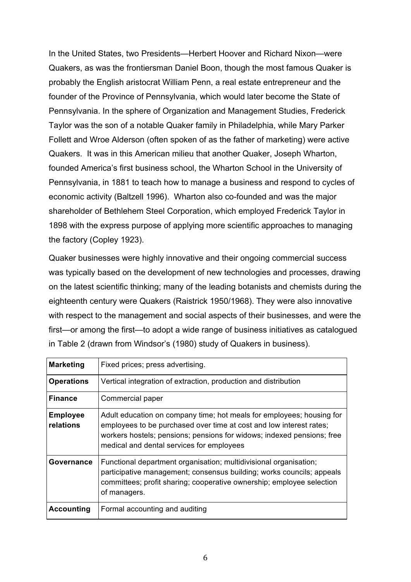In the United States, two Presidents—Herbert Hoover and Richard Nixon—were Quakers, as was the frontiersman Daniel Boon, though the most famous Quaker is probably the English aristocrat William Penn, a real estate entrepreneur and the founder of the Province of Pennsylvania, which would later become the State of Pennsylvania. In the sphere of Organization and Management Studies, Frederick Taylor was the son of a notable Quaker family in Philadelphia, while Mary Parker Follett and Wroe Alderson (often spoken of as the father of marketing) were active Quakers. It was in this American milieu that another Quaker, Joseph Wharton, founded America's first business school, the Wharton School in the University of Pennsylvania, in 1881 to teach how to manage a business and respond to cycles of economic activity (Baltzell 1996). Wharton also co-founded and was the major shareholder of Bethlehem Steel Corporation, which employed Frederick Taylor in 1898 with the express purpose of applying more scientific approaches to managing the factory (Copley 1923).

Quaker businesses were highly innovative and their ongoing commercial success was typically based on the development of new technologies and processes, drawing on the latest scientific thinking; many of the leading botanists and chemists during the eighteenth century were Quakers (Raistrick 1950/1968). They were also innovative with respect to the management and social aspects of their businesses, and were the first—or among the first—to adopt a wide range of business initiatives as catalogued in Table 2 (drawn from Windsor's (1980) study of Quakers in business).

| <b>Marketing</b>             | Fixed prices; press advertising.                                                                                                                                                                                                                                    |
|------------------------------|---------------------------------------------------------------------------------------------------------------------------------------------------------------------------------------------------------------------------------------------------------------------|
| <b>Operations</b>            | Vertical integration of extraction, production and distribution                                                                                                                                                                                                     |
| <b>Finance</b>               | Commercial paper                                                                                                                                                                                                                                                    |
| <b>Employee</b><br>relations | Adult education on company time; hot meals for employees; housing for<br>employees to be purchased over time at cost and low interest rates;<br>workers hostels; pensions; pensions for widows; indexed pensions; free<br>medical and dental services for employees |
| Governance                   | Functional department organisation; multidivisional organisation;<br>participative management; consensus building; works councils; appeals<br>committees; profit sharing; cooperative ownership; employee selection<br>of managers.                                 |
| <b>Accounting</b>            | Formal accounting and auditing                                                                                                                                                                                                                                      |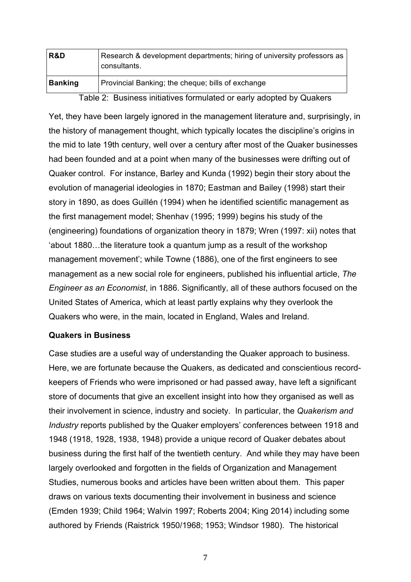| R&D            | Research & development departments; hiring of university professors as<br>consultants. |
|----------------|----------------------------------------------------------------------------------------|
| <b>Banking</b> | Provincial Banking; the cheque; bills of exchange                                      |
|                | Table 2: Business initiatives formulated or early adopted by Quakers                   |

Yet, they have been largely ignored in the management literature and, surprisingly, in the history of management thought, which typically locates the discipline's origins in the mid to late 19th century, well over a century after most of the Quaker businesses had been founded and at a point when many of the businesses were drifting out of Quaker control. For instance, Barley and Kunda (1992) begin their story about the evolution of managerial ideologies in 1870; Eastman and Bailey (1998) start their story in 1890, as does Guillén (1994) when he identified scientific management as the first management model; Shenhav (1995; 1999) begins his study of the (engineering) foundations of organization theory in 1879; Wren (1997: xii) notes that 'about 1880…the literature took a quantum jump as a result of the workshop management movement'; while Towne (1886), one of the first engineers to see management as a new social role for engineers, published his influential article, *The Engineer as an Economist*, in 1886. Significantly, all of these authors focused on the United States of America, which at least partly explains why they overlook the Quakers who were, in the main, located in England, Wales and Ireland.

# **Quakers in Business**

Case studies are a useful way of understanding the Quaker approach to business. Here, we are fortunate because the Quakers, as dedicated and conscientious recordkeepers of Friends who were imprisoned or had passed away, have left a significant store of documents that give an excellent insight into how they organised as well as their involvement in science, industry and society. In particular, the *Quakerism and Industry* reports published by the Quaker employers' conferences between 1918 and 1948 (1918, 1928, 1938, 1948) provide a unique record of Quaker debates about business during the first half of the twentieth century. And while they may have been largely overlooked and forgotten in the fields of Organization and Management Studies, numerous books and articles have been written about them. This paper draws on various texts documenting their involvement in business and science (Emden 1939; Child 1964; Walvin 1997; Roberts 2004; King 2014) including some authored by Friends (Raistrick 1950/1968; 1953; Windsor 1980). The historical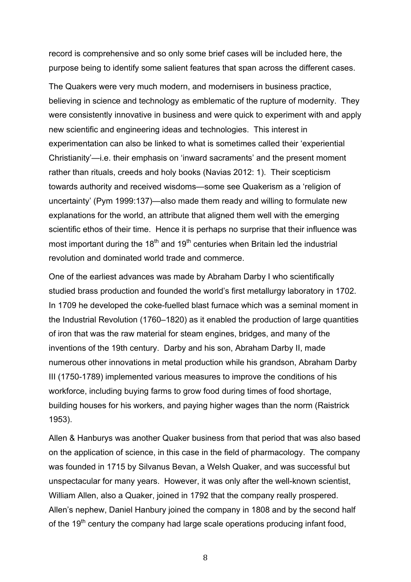record is comprehensive and so only some brief cases will be included here, the purpose being to identify some salient features that span across the different cases.

The Quakers were very much modern, and modernisers in business practice, believing in science and technology as emblematic of the rupture of modernity. They were consistently innovative in business and were quick to experiment with and apply new scientific and engineering ideas and technologies. This interest in experimentation can also be linked to what is sometimes called their 'experiential Christianity'—i.e. their emphasis on 'inward sacraments' and the present moment rather than rituals, creeds and holy books (Navias 2012: 1). Their scepticism towards authority and received wisdoms—some see Quakerism as a 'religion of uncertainty' (Pym 1999:137)—also made them ready and willing to formulate new explanations for the world, an attribute that aligned them well with the emerging scientific ethos of their time. Hence it is perhaps no surprise that their influence was most important during the 18<sup>th</sup> and 19<sup>th</sup> centuries when Britain led the industrial revolution and dominated world trade and commerce.

One of the earliest advances was made by Abraham Darby I who scientifically studied brass production and founded the world's first metallurgy laboratory in 1702. In 1709 he developed the coke-fuelled blast furnace which was a seminal moment in the Industrial Revolution (1760–1820) as it enabled the production of large quantities of iron that was the raw material for steam engines, bridges, and many of the inventions of the 19th century. Darby and his son, Abraham Darby II, made numerous other innovations in metal production while his grandson, Abraham Darby III (1750-1789) implemented various measures to improve the conditions of his workforce, including buying farms to grow food during times of food shortage, building houses for his workers, and paying higher wages than the norm (Raistrick 1953).

Allen & Hanburys was another Quaker business from that period that was also based on the application of science, in this case in the field of pharmacology. The company was founded in 1715 by Silvanus Bevan, a Welsh Quaker, and was successful but unspectacular for many years. However, it was only after the well-known scientist, William Allen, also a Quaker, joined in 1792 that the company really prospered. Allen's nephew, Daniel Hanbury joined the company in 1808 and by the second half of the  $19<sup>th</sup>$  century the company had large scale operations producing infant food,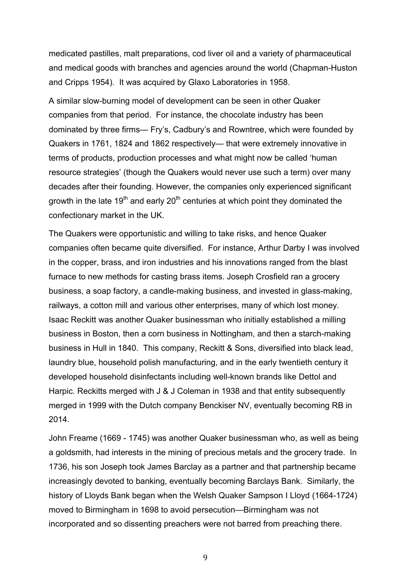medicated pastilles, malt preparations, cod liver oil and a variety of pharmaceutical and medical goods with branches and agencies around the world (Chapman-Huston and Cripps 1954). It was acquired by Glaxo Laboratories in 1958.

A similar slow-burning model of development can be seen in other Quaker companies from that period. For instance, the chocolate industry has been dominated by three firms— Fry's, Cadbury's and Rowntree, which were founded by Quakers in 1761, 1824 and 1862 respectively— that were extremely innovative in terms of products, production processes and what might now be called 'human resource strategies' (though the Quakers would never use such a term) over many decades after their founding. However, the companies only experienced significant growth in the late  $19<sup>th</sup>$  and early 20<sup>th</sup> centuries at which point they dominated the confectionary market in the UK.

The Quakers were opportunistic and willing to take risks, and hence Quaker companies often became quite diversified. For instance, Arthur Darby I was involved in the copper, brass, and iron industries and his innovations ranged from the blast furnace to new methods for casting brass items. Joseph Crosfield ran a grocery business, a soap factory, a candle-making business, and invested in glass-making, railways, a cotton mill and various other enterprises, many of which lost money. Isaac Reckitt was another Quaker businessman who initially established a milling business in Boston, then a corn business in Nottingham, and then a starch-making business in Hull in 1840. This company, Reckitt & Sons, diversified into black lead, laundry blue, household polish manufacturing, and in the early twentieth century it developed household disinfectants including well-known brands like Dettol and Harpic. Reckitts merged with J & J Coleman in 1938 and that entity subsequently merged in 1999 with the Dutch company Benckiser NV, eventually becoming RB in 2014.

John Freame (1669 - 1745) was another Quaker businessman who, as well as being a goldsmith, had interests in the mining of precious metals and the grocery trade. In 1736, his son Joseph took James Barclay as a partner and that partnership became increasingly devoted to banking, eventually becoming Barclays Bank. Similarly, the history of Lloyds Bank began when the Welsh Quaker Sampson I Lloyd (1664-1724) moved to Birmingham in 1698 to avoid persecution—Birmingham was not incorporated and so dissenting preachers were not barred from preaching there.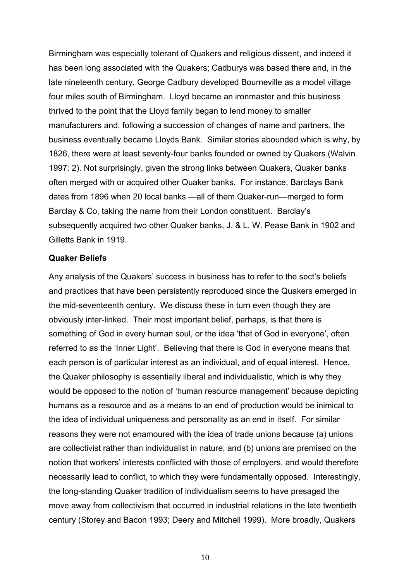Birmingham was especially tolerant of Quakers and religious dissent, and indeed it has been long associated with the Quakers; Cadburys was based there and, in the late nineteenth century, George Cadbury developed Bourneville as a model village four miles south of Birmingham. Lloyd became an ironmaster and this business thrived to the point that the Lloyd family began to lend money to smaller manufacturers and, following a succession of changes of name and partners, the business eventually became Lloyds Bank. Similar stories abounded which is why, by 1826, there were at least seventy-four banks founded or owned by Quakers (Walvin 1997: 2). Not surprisingly, given the strong links between Quakers, Quaker banks often merged with or acquired other Quaker banks. For instance, Barclays Bank dates from 1896 when 20 local banks —all of them Quaker-run—merged to form Barclay & Co, taking the name from their London constituent. Barclay's subsequently acquired two other Quaker banks, J. & L. W. Pease Bank in 1902 and Gilletts Bank in 1919.

#### **Quaker Beliefs**

Any analysis of the Quakers' success in business has to refer to the sect's beliefs and practices that have been persistently reproduced since the Quakers emerged in the mid-seventeenth century. We discuss these in turn even though they are obviously inter-linked. Their most important belief, perhaps, is that there is something of God in every human soul, or the idea 'that of God in everyone', often referred to as the 'Inner Light'. Believing that there is God in everyone means that each person is of particular interest as an individual, and of equal interest. Hence, the Quaker philosophy is essentially liberal and individualistic, which is why they would be opposed to the notion of 'human resource management' because depicting humans as a resource and as a means to an end of production would be inimical to the idea of individual uniqueness and personality as an end in itself. For similar reasons they were not enamoured with the idea of trade unions because (a) unions are collectivist rather than individualist in nature, and (b) unions are premised on the notion that workers' interests conflicted with those of employers, and would therefore necessarily lead to conflict, to which they were fundamentally opposed. Interestingly, the long-standing Quaker tradition of individualism seems to have presaged the move away from collectivism that occurred in industrial relations in the late twentieth century (Storey and Bacon 1993; Deery and Mitchell 1999). More broadly, Quakers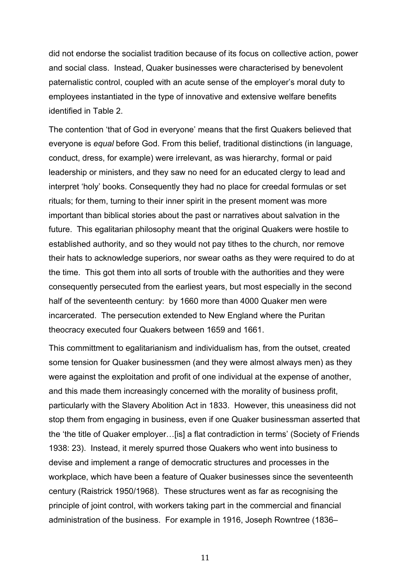did not endorse the socialist tradition because of its focus on collective action, power and social class. Instead, Quaker businesses were characterised by benevolent paternalistic control, coupled with an acute sense of the employer's moral duty to employees instantiated in the type of innovative and extensive welfare benefits identified in Table 2.

The contention 'that of God in everyone' means that the first Quakers believed that everyone is *equal* before God. From this belief, traditional distinctions (in language, conduct, dress, for example) were irrelevant, as was hierarchy, formal or paid leadership or ministers, and they saw no need for an educated clergy to lead and interpret 'holy' books. Consequently they had no place for creedal formulas or set rituals; for them, turning to their inner spirit in the present moment was more important than biblical stories about the past or narratives about salvation in the future. This egalitarian philosophy meant that the original Quakers were hostile to established authority, and so they would not pay tithes to the church, nor remove their hats to acknowledge superiors, nor swear oaths as they were required to do at the time. This got them into all sorts of trouble with the authorities and they were consequently persecuted from the earliest years, but most especially in the second half of the seventeenth century: by 1660 more than 4000 Quaker men were incarcerated. The persecution extended to New England where the Puritan theocracy executed four Quakers between 1659 and 1661.

This committment to egalitarianism and individualism has, from the outset, created some tension for Quaker businessmen (and they were almost always men) as they were against the exploitation and profit of one individual at the expense of another, and this made them increasingly concerned with the morality of business profit, particularly with the Slavery Abolition Act in 1833. However, this uneasiness did not stop them from engaging in business, even if one Quaker businessman asserted that the 'the title of Quaker employer…[is] a flat contradiction in terms' (Society of Friends 1938: 23). Instead, it merely spurred those Quakers who went into business to devise and implement a range of democratic structures and processes in the workplace, which have been a feature of Quaker businesses since the seventeenth century (Raistrick 1950/1968). These structures went as far as recognising the principle of joint control, with workers taking part in the commercial and financial administration of the business. For example in 1916, Joseph Rowntree (1836–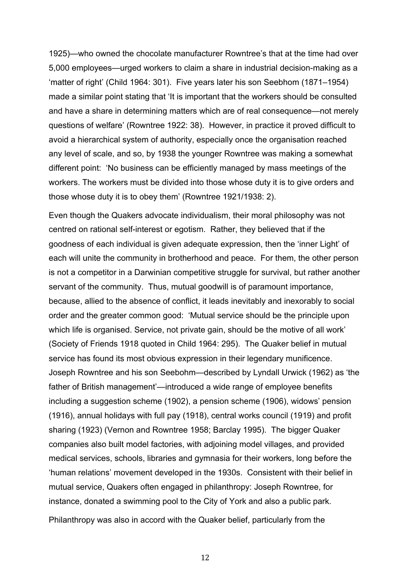1925)—who owned the chocolate manufacturer Rowntree's that at the time had over 5,000 employees—urged workers to claim a share in industrial decision-making as a 'matter of right' (Child 1964: 301). Five years later his son Seebhom (1871–1954) made a similar point stating that 'It is important that the workers should be consulted and have a share in determining matters which are of real consequence—not merely questions of welfare' (Rowntree 1922: 38). However, in practice it proved difficult to avoid a hierarchical system of authority, especially once the organisation reached any level of scale, and so, by 1938 the younger Rowntree was making a somewhat different point: 'No business can be efficiently managed by mass meetings of the workers. The workers must be divided into those whose duty it is to give orders and those whose duty it is to obey them' (Rowntree 1921/1938: 2).

Even though the Quakers advocate individualism, their moral philosophy was not centred on rational self-interest or egotism. Rather, they believed that if the goodness of each individual is given adequate expression, then the 'inner Light' of each will unite the community in brotherhood and peace. For them, the other person is not a competitor in a Darwinian competitive struggle for survival, but rather another servant of the community. Thus, mutual goodwill is of paramount importance, because, allied to the absence of conflict, it leads inevitably and inexorably to social order and the greater common good: 'Mutual service should be the principle upon which life is organised. Service, not private gain, should be the motive of all work' (Society of Friends 1918 quoted in Child 1964: 295). The Quaker belief in mutual service has found its most obvious expression in their legendary munificence. Joseph Rowntree and his son Seebohm—described by Lyndall Urwick (1962) as 'the father of British management'—introduced a wide range of employee benefits including a suggestion scheme (1902), a pension scheme (1906), widows' pension (1916), annual holidays with full pay (1918), central works council (1919) and profit sharing (1923) (Vernon and Rowntree 1958; Barclay 1995). The bigger Quaker companies also built model factories, with adjoining model villages, and provided medical services, schools, libraries and gymnasia for their workers, long before the 'human relations' movement developed in the 1930s. Consistent with their belief in mutual service, Quakers often engaged in philanthropy: Joseph Rowntree, for instance, donated a swimming pool to the City of York and also a public park. Philanthropy was also in accord with the Quaker belief, particularly from the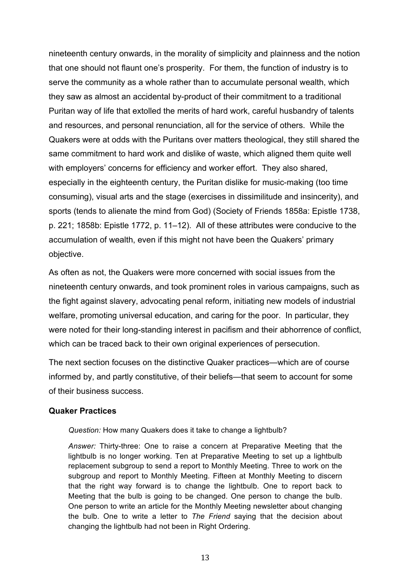nineteenth century onwards, in the morality of simplicity and plainness and the notion that one should not flaunt one's prosperity. For them, the function of industry is to serve the community as a whole rather than to accumulate personal wealth, which they saw as almost an accidental by-product of their commitment to a traditional Puritan way of life that extolled the merits of hard work, careful husbandry of talents and resources, and personal renunciation, all for the service of others. While the Quakers were at odds with the Puritans over matters theological, they still shared the same commitment to hard work and dislike of waste, which aligned them quite well with employers' concerns for efficiency and worker effort. They also shared, especially in the eighteenth century, the Puritan dislike for music-making (too time consuming), visual arts and the stage (exercises in dissimilitude and insincerity), and sports (tends to alienate the mind from God) (Society of Friends 1858a: Epistle 1738, p. 221; 1858b: Epistle 1772, p. 11–12). All of these attributes were conducive to the accumulation of wealth, even if this might not have been the Quakers' primary objective.

As often as not, the Quakers were more concerned with social issues from the nineteenth century onwards, and took prominent roles in various campaigns, such as the fight against slavery, advocating penal reform, initiating new models of industrial welfare, promoting universal education, and caring for the poor. In particular, they were noted for their long-standing interest in pacifism and their abhorrence of conflict, which can be traced back to their own original experiences of persecution.

The next section focuses on the distinctive Quaker practices—which are of course informed by, and partly constitutive, of their beliefs—that seem to account for some of their business success.

# **Quaker Practices**

*Question:* How many Quakers does it take to change a lightbulb?

*Answer:* Thirty-three: One to raise a concern at Preparative Meeting that the lightbulb is no longer working. Ten at Preparative Meeting to set up a lightbulb replacement subgroup to send a report to Monthly Meeting. Three to work on the subgroup and report to Monthly Meeting. Fifteen at Monthly Meeting to discern that the right way forward is to change the lightbulb. One to report back to Meeting that the bulb is going to be changed. One person to change the bulb. One person to write an article for the Monthly Meeting newsletter about changing the bulb. One to write a letter to *The Friend* saying that the decision about changing the lightbulb had not been in Right Ordering.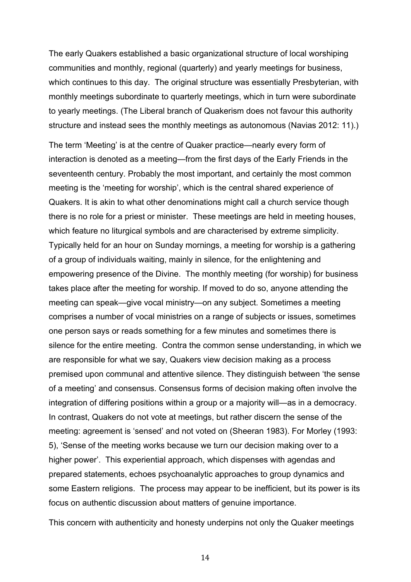The early Quakers established a basic organizational structure of local worshiping communities and monthly, regional (quarterly) and yearly meetings for business, which continues to this day. The original structure was essentially Presbyterian, with monthly meetings subordinate to quarterly meetings, which in turn were subordinate to yearly meetings. (The Liberal branch of Quakerism does not favour this authority structure and instead sees the monthly meetings as autonomous (Navias 2012: 11).)

The term 'Meeting' is at the centre of Quaker practice—nearly every form of interaction is denoted as a meeting—from the first days of the Early Friends in the seventeenth century. Probably the most important, and certainly the most common meeting is the 'meeting for worship', which is the central shared experience of Quakers. It is akin to what other denominations might call a church service though there is no role for a priest or minister. These meetings are held in meeting houses, which feature no liturgical symbols and are characterised by extreme simplicity. Typically held for an hour on Sunday mornings, a meeting for worship is a gathering of a group of individuals waiting, mainly in silence, for the enlightening and empowering presence of the Divine. The monthly meeting (for worship) for business takes place after the meeting for worship. If moved to do so, anyone attending the meeting can speak—give vocal ministry—on any subject. Sometimes a meeting comprises a number of vocal ministries on a range of subjects or issues, sometimes one person says or reads something for a few minutes and sometimes there is silence for the entire meeting. Contra the common sense understanding, in which we are responsible for what we say, Quakers view decision making as a process premised upon communal and attentive silence. They distinguish between 'the sense of a meeting' and consensus. Consensus forms of decision making often involve the integration of differing positions within a group or a majority will—as in a democracy. In contrast, Quakers do not vote at meetings, but rather discern the sense of the meeting: agreement is 'sensed' and not voted on (Sheeran 1983). For Morley (1993: 5), 'Sense of the meeting works because we turn our decision making over to a higher power'. This experiential approach, which dispenses with agendas and prepared statements, echoes psychoanalytic approaches to group dynamics and some Eastern religions. The process may appear to be inefficient, but its power is its focus on authentic discussion about matters of genuine importance.

This concern with authenticity and honesty underpins not only the Quaker meetings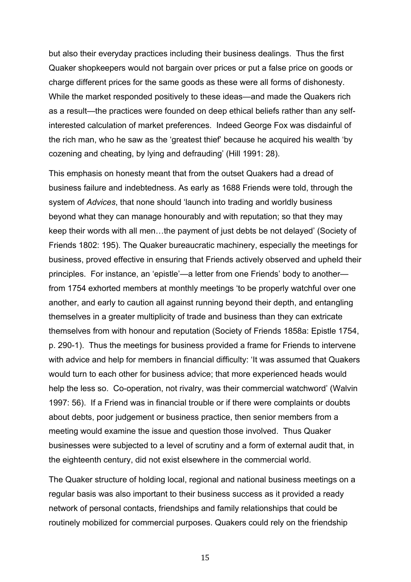but also their everyday practices including their business dealings. Thus the first Quaker shopkeepers would not bargain over prices or put a false price on goods or charge different prices for the same goods as these were all forms of dishonesty. While the market responded positively to these ideas—and made the Quakers rich as a result—the practices were founded on deep ethical beliefs rather than any selfinterested calculation of market preferences. Indeed George Fox was disdainful of the rich man, who he saw as the 'greatest thief' because he acquired his wealth 'by cozening and cheating, by lying and defrauding' (Hill 1991: 28).

This emphasis on honesty meant that from the outset Quakers had a dread of business failure and indebtedness. As early as 1688 Friends were told, through the system of *Advices*, that none should 'launch into trading and worldly business beyond what they can manage honourably and with reputation; so that they may keep their words with all men…the payment of just debts be not delayed' (Society of Friends 1802: 195). The Quaker bureaucratic machinery, especially the meetings for business, proved effective in ensuring that Friends actively observed and upheld their principles. For instance, an 'epistle'—a letter from one Friends' body to another from 1754 exhorted members at monthly meetings 'to be properly watchful over one another, and early to caution all against running beyond their depth, and entangling themselves in a greater multiplicity of trade and business than they can extricate themselves from with honour and reputation (Society of Friends 1858a: Epistle 1754, p. 290-1). Thus the meetings for business provided a frame for Friends to intervene with advice and help for members in financial difficulty: 'It was assumed that Quakers would turn to each other for business advice; that more experienced heads would help the less so. Co-operation, not rivalry, was their commercial watchword' (Walvin 1997: 56). If a Friend was in financial trouble or if there were complaints or doubts about debts, poor judgement or business practice, then senior members from a meeting would examine the issue and question those involved. Thus Quaker businesses were subjected to a level of scrutiny and a form of external audit that, in the eighteenth century, did not exist elsewhere in the commercial world.

The Quaker structure of holding local, regional and national business meetings on a regular basis was also important to their business success as it provided a ready network of personal contacts, friendships and family relationships that could be routinely mobilized for commercial purposes. Quakers could rely on the friendship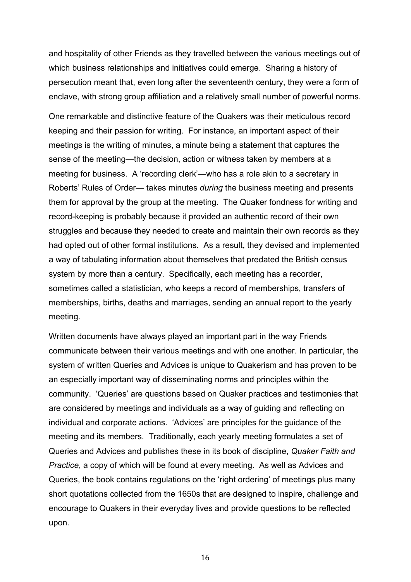and hospitality of other Friends as they travelled between the various meetings out of which business relationships and initiatives could emerge. Sharing a history of persecution meant that, even long after the seventeenth century, they were a form of enclave, with strong group affiliation and a relatively small number of powerful norms.

One remarkable and distinctive feature of the Quakers was their meticulous record keeping and their passion for writing. For instance, an important aspect of their meetings is the writing of minutes, a minute being a statement that captures the sense of the meeting—the decision, action or witness taken by members at a meeting for business. A 'recording clerk'—who has a role akin to a secretary in Roberts' Rules of Order— takes minutes *during* the business meeting and presents them for approval by the group at the meeting. The Quaker fondness for writing and record-keeping is probably because it provided an authentic record of their own struggles and because they needed to create and maintain their own records as they had opted out of other formal institutions. As a result, they devised and implemented a way of tabulating information about themselves that predated the British census system by more than a century. Specifically, each meeting has a recorder, sometimes called a statistician, who keeps a record of memberships, transfers of memberships, births, deaths and marriages, sending an annual report to the yearly meeting.

Written documents have always played an important part in the way Friends communicate between their various meetings and with one another. In particular, the system of written Queries and Advices is unique to Quakerism and has proven to be an especially important way of disseminating norms and principles within the community. 'Queries' are questions based on Quaker practices and testimonies that are considered by meetings and individuals as a way of guiding and reflecting on individual and corporate actions. 'Advices' are principles for the guidance of the meeting and its members. Traditionally, each yearly meeting formulates a set of Queries and Advices and publishes these in its book of discipline, *Quaker Faith and Practice*, a copy of which will be found at every meeting. As well as Advices and Queries, the book contains regulations on the 'right ordering' of meetings plus many short quotations collected from the 1650s that are designed to inspire, challenge and encourage to Quakers in their everyday lives and provide questions to be reflected upon.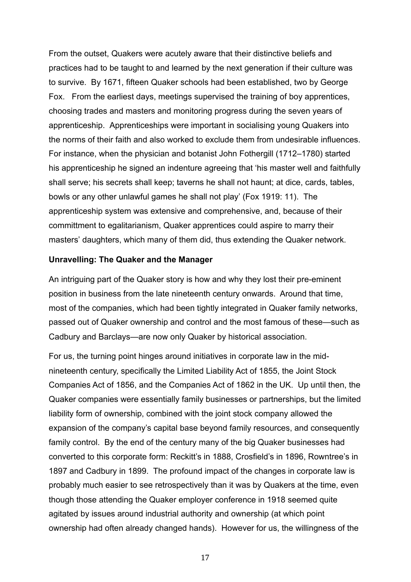From the outset, Quakers were acutely aware that their distinctive beliefs and practices had to be taught to and learned by the next generation if their culture was to survive. By 1671, fifteen Quaker schools had been established, two by George Fox. From the earliest days, meetings supervised the training of boy apprentices, choosing trades and masters and monitoring progress during the seven years of apprenticeship. Apprenticeships were important in socialising young Quakers into the norms of their faith and also worked to exclude them from undesirable influences. For instance, when the physician and botanist John Fothergill (1712–1780) started his apprenticeship he signed an indenture agreeing that 'his master well and faithfully shall serve; his secrets shall keep; taverns he shall not haunt; at dice, cards, tables, bowls or any other unlawful games he shall not play' (Fox 1919: 11). The apprenticeship system was extensive and comprehensive, and, because of their committment to egalitarianism, Quaker apprentices could aspire to marry their masters' daughters, which many of them did, thus extending the Quaker network.

#### **Unravelling: The Quaker and the Manager**

An intriguing part of the Quaker story is how and why they lost their pre-eminent position in business from the late nineteenth century onwards. Around that time, most of the companies, which had been tightly integrated in Quaker family networks, passed out of Quaker ownership and control and the most famous of these—such as Cadbury and Barclays—are now only Quaker by historical association.

For us, the turning point hinges around initiatives in corporate law in the midnineteenth century, specifically the Limited Liability Act of 1855, the Joint Stock Companies Act of 1856, and the Companies Act of 1862 in the UK. Up until then, the Quaker companies were essentially family businesses or partnerships, but the limited liability form of ownership, combined with the joint stock company allowed the expansion of the company's capital base beyond family resources, and consequently family control. By the end of the century many of the big Quaker businesses had converted to this corporate form: Reckitt's in 1888, Crosfield's in 1896, Rowntree's in 1897 and Cadbury in 1899. The profound impact of the changes in corporate law is probably much easier to see retrospectively than it was by Quakers at the time, even though those attending the Quaker employer conference in 1918 seemed quite agitated by issues around industrial authority and ownership (at which point ownership had often already changed hands). However for us, the willingness of the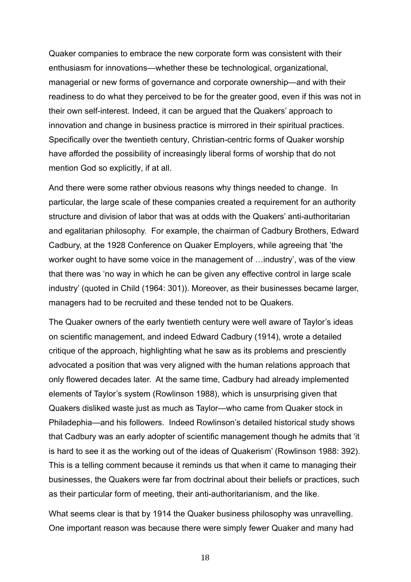Quaker companies to embrace the new corporate form was consistent with their enthusiasm for innovations—whether these be technological, organizational, managerial or new forms of governance and corporate ownership—and with their readiness to do what they perceived to be for the greater good, even if this was not in their own self-interest. Indeed, it can be argued that the Quakers' approach to innovation and change in business practice is mirrored in their spiritual practices. Specifically over the twentieth century, Christian-centric forms of Quaker worship have afforded the possibility of increasingly liberal forms of worship that do not mention God so explicitly, if at all.

And there were some rather obvious reasons why things needed to change. In particular, the large scale of these companies created a requirement for an authority structure and division of labor that was at odds with the Quakers' anti-authoritarian and egalitarian philosophy. For example, the chairman of Cadbury Brothers, Edward Cadbury, at the 1928 Conference on Quaker Employers, while agreeing that 'the worker ought to have some voice in the management of …industry', was of the view that there was 'no way in which he can be given any effective control in large scale industry' (quoted in Child (1964: 301)). Moreover, as their businesses became larger, managers had to be recruited and these tended not to be Quakers.

The Quaker owners of the early twentieth century were well aware of Taylor's ideas on scientific management, and indeed Edward Cadbury (1914), wrote a detailed critique of the approach, highlighting what he saw as its problems and presciently advocated a position that was very aligned with the human relations approach that only flowered decades later. At the same time, Cadbury had already implemented elements of Taylor's system (Rowlinson 1988), which is unsurprising given that Quakers disliked waste just as much as Taylor—who came from Quaker stock in Philadephia—and his followers. Indeed Rowlinson's detailed historical study shows that Cadbury was an early adopter of scientific management though he admits that 'it is hard to see it as the working out of the ideas of Quakerism' (Rowlinson 1988: 392). This is a telling comment because it reminds us that when it came to managing their businesses, the Quakers were far from doctrinal about their beliefs or practices, such as their particular form of meeting, their anti-authoritarianism, and the like.

What seems clear is that by 1914 the Quaker business philosophy was unravelling. One important reason was because there were simply fewer Quaker and many had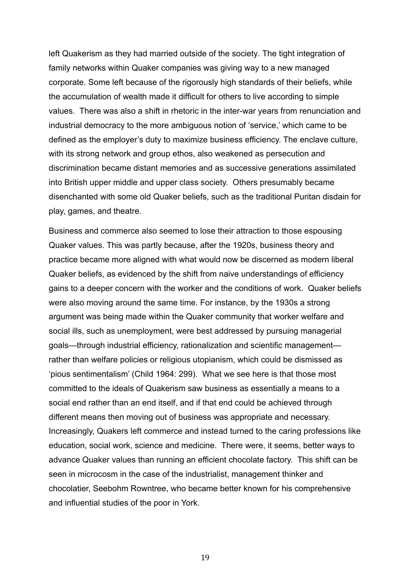left Quakerism as they had married outside of the society. The tight integration of family networks within Quaker companies was giving way to a new managed corporate. Some left because of the rigorously high standards of their beliefs, while the accumulation of wealth made it difficult for others to live according to simple values. There was also a shift in rhetoric in the inter-war years from renunciation and industrial democracy to the more ambiguous notion of 'service,' which came to be defined as the employer's duty to maximize business efficiency. The enclave culture, with its strong network and group ethos, also weakened as persecution and discrimination became distant memories and as successive generations assimilated into British upper middle and upper class society. Others presumably became disenchanted with some old Quaker beliefs, such as the traditional Puritan disdain for play, games, and theatre.

Business and commerce also seemed to lose their attraction to those espousing Quaker values. This was partly because, after the 1920s, business theory and practice became more aligned with what would now be discerned as modern liberal Quaker beliefs, as evidenced by the shift from naive understandings of efficiency gains to a deeper concern with the worker and the conditions of work. Quaker beliefs were also moving around the same time. For instance, by the 1930s a strong argument was being made within the Quaker community that worker welfare and social ills, such as unemployment, were best addressed by pursuing managerial goals—through industrial efficiency, rationalization and scientific management rather than welfare policies or religious utopianism, which could be dismissed as 'pious sentimentalism' (Child 1964: 299). What we see here is that those most committed to the ideals of Quakerism saw business as essentially a means to a social end rather than an end itself, and if that end could be achieved through different means then moving out of business was appropriate and necessary. Increasingly, Quakers left commerce and instead turned to the caring professions like education, social work, science and medicine. There were, it seems, better ways to advance Quaker values than running an efficient chocolate factory. This shift can be seen in microcosm in the case of the industrialist, management thinker and chocolatier, Seebohm Rowntree, who became better known for his comprehensive and influential studies of the poor in York.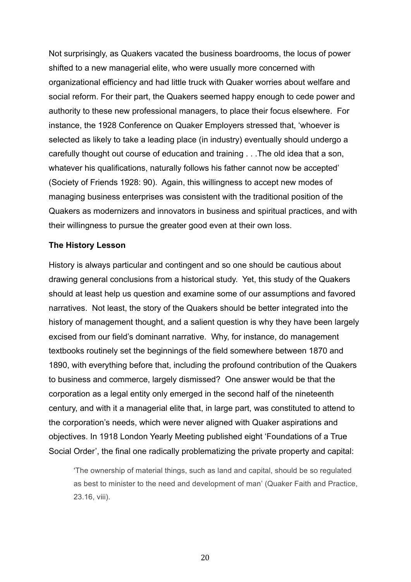Not surprisingly, as Quakers vacated the business boardrooms, the locus of power shifted to a new managerial elite, who were usually more concerned with organizational efficiency and had little truck with Quaker worries about welfare and social reform. For their part, the Quakers seemed happy enough to cede power and authority to these new professional managers, to place their focus elsewhere. For instance, the 1928 Conference on Quaker Employers stressed that, 'whoever is selected as likely to take a leading place (in industry) eventually should undergo a carefully thought out course of education and training . . .The old idea that a son, whatever his qualifications, naturally follows his father cannot now be accepted' (Society of Friends 1928: 90). Again, this willingness to accept new modes of managing business enterprises was consistent with the traditional position of the Quakers as modernizers and innovators in business and spiritual practices, and with their willingness to pursue the greater good even at their own loss.

# **The History Lesson**

History is always particular and contingent and so one should be cautious about drawing general conclusions from a historical study. Yet, this study of the Quakers should at least help us question and examine some of our assumptions and favored narratives. Not least, the story of the Quakers should be better integrated into the history of management thought, and a salient question is why they have been largely excised from our field's dominant narrative. Why, for instance, do management textbooks routinely set the beginnings of the field somewhere between 1870 and 1890, with everything before that, including the profound contribution of the Quakers to business and commerce, largely dismissed? One answer would be that the corporation as a legal entity only emerged in the second half of the nineteenth century, and with it a managerial elite that, in large part, was constituted to attend to the corporation's needs, which were never aligned with Quaker aspirations and objectives. In 1918 London Yearly Meeting published eight 'Foundations of a True Social Order', the final one radically problematizing the private property and capital:

'The ownership of material things, such as land and capital, should be so regulated as best to minister to the need and development of man' (Quaker Faith and Practice, 23.16, viii).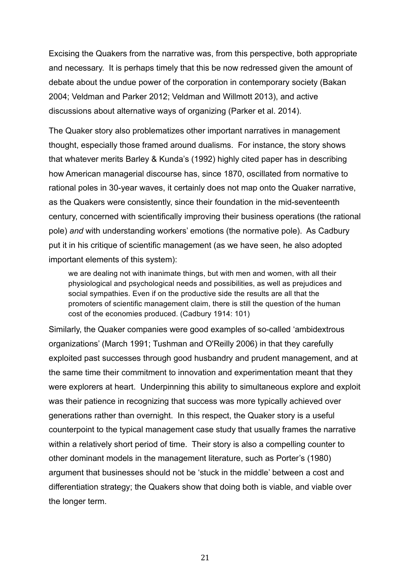Excising the Quakers from the narrative was, from this perspective, both appropriate and necessary. It is perhaps timely that this be now redressed given the amount of debate about the undue power of the corporation in contemporary society (Bakan 2004; Veldman and Parker 2012; Veldman and Willmott 2013), and active discussions about alternative ways of organizing (Parker et al. 2014).

The Quaker story also problematizes other important narratives in management thought, especially those framed around dualisms. For instance, the story shows that whatever merits Barley & Kunda's (1992) highly cited paper has in describing how American managerial discourse has, since 1870, oscillated from normative to rational poles in 30-year waves, it certainly does not map onto the Quaker narrative, as the Quakers were consistently, since their foundation in the mid-seventeenth century, concerned with scientifically improving their business operations (the rational pole) *and* with understanding workers' emotions (the normative pole). As Cadbury put it in his critique of scientific management (as we have seen, he also adopted important elements of this system):

we are dealing not with inanimate things, but with men and women, with all their physiological and psychological needs and possibilities, as well as prejudices and social sympathies. Even if on the productive side the results are all that the promoters of scientific management claim, there is still the question of the human cost of the economies produced. (Cadbury 1914: 101)

Similarly, the Quaker companies were good examples of so-called 'ambidextrous organizations' (March 1991; Tushman and O'Reilly 2006) in that they carefully exploited past successes through good husbandry and prudent management, and at the same time their commitment to innovation and experimentation meant that they were explorers at heart. Underpinning this ability to simultaneous explore and exploit was their patience in recognizing that success was more typically achieved over generations rather than overnight. In this respect, the Quaker story is a useful counterpoint to the typical management case study that usually frames the narrative within a relatively short period of time. Their story is also a compelling counter to other dominant models in the management literature, such as Porter's (1980) argument that businesses should not be 'stuck in the middle' between a cost and differentiation strategy; the Quakers show that doing both is viable, and viable over the longer term.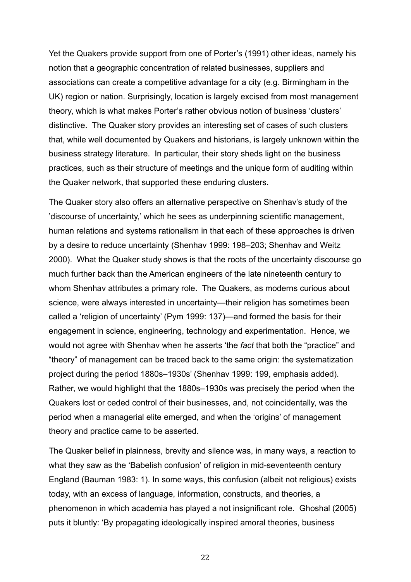Yet the Quakers provide support from one of Porter's (1991) other ideas, namely his notion that a geographic concentration of related businesses, suppliers and associations can create a competitive advantage for a city (e.g. Birmingham in the UK) region or nation. Surprisingly, location is largely excised from most management theory, which is what makes Porter's rather obvious notion of business 'clusters' distinctive. The Quaker story provides an interesting set of cases of such clusters that, while well documented by Quakers and historians, is largely unknown within the business strategy literature. In particular, their story sheds light on the business practices, such as their structure of meetings and the unique form of auditing within the Quaker network, that supported these enduring clusters.

The Quaker story also offers an alternative perspective on Shenhav's study of the 'discourse of uncertainty,' which he sees as underpinning scientific management, human relations and systems rationalism in that each of these approaches is driven by a desire to reduce uncertainty (Shenhav 1999: 198–203; Shenhav and Weitz 2000). What the Quaker study shows is that the roots of the uncertainty discourse go much further back than the American engineers of the late nineteenth century to whom Shenhav attributes a primary role. The Quakers, as moderns curious about science, were always interested in uncertainty—their religion has sometimes been called a 'religion of uncertainty' (Pym 1999: 137)—and formed the basis for their engagement in science, engineering, technology and experimentation. Hence, we would not agree with Shenhav when he asserts 'the *fact* that both the "practice" and "theory" of management can be traced back to the same origin: the systematization project during the period 1880s–1930s' (Shenhav 1999: 199, emphasis added). Rather, we would highlight that the 1880s–1930s was precisely the period when the Quakers lost or ceded control of their businesses, and, not coincidentally, was the period when a managerial elite emerged, and when the 'origins' of management theory and practice came to be asserted.

The Quaker belief in plainness, brevity and silence was, in many ways, a reaction to what they saw as the 'Babelish confusion' of religion in mid-seventeenth century England (Bauman 1983: 1). In some ways, this confusion (albeit not religious) exists today, with an excess of language, information, constructs, and theories, a phenomenon in which academia has played a not insignificant role. Ghoshal (2005) puts it bluntly: 'By propagating ideologically inspired amoral theories, business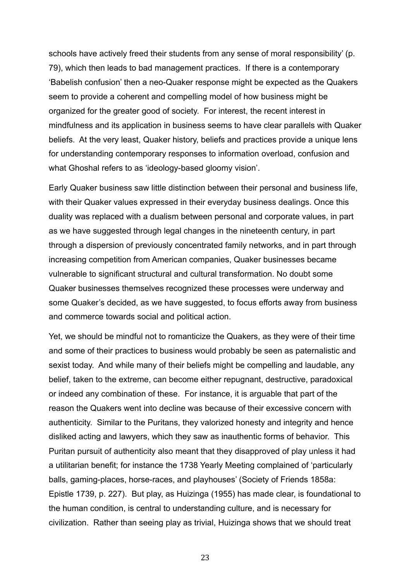schools have actively freed their students from any sense of moral responsibility' (p. 79), which then leads to bad management practices. If there is a contemporary 'Babelish confusion' then a neo-Quaker response might be expected as the Quakers seem to provide a coherent and compelling model of how business might be organized for the greater good of society. For interest, the recent interest in mindfulness and its application in business seems to have clear parallels with Quaker beliefs. At the very least, Quaker history, beliefs and practices provide a unique lens for understanding contemporary responses to information overload, confusion and what Ghoshal refers to as 'ideology-based gloomy vision'.

Early Quaker business saw little distinction between their personal and business life, with their Quaker values expressed in their everyday business dealings. Once this duality was replaced with a dualism between personal and corporate values, in part as we have suggested through legal changes in the nineteenth century, in part through a dispersion of previously concentrated family networks, and in part through increasing competition from American companies, Quaker businesses became vulnerable to significant structural and cultural transformation. No doubt some Quaker businesses themselves recognized these processes were underway and some Quaker's decided, as we have suggested, to focus efforts away from business and commerce towards social and political action.

Yet, we should be mindful not to romanticize the Quakers, as they were of their time and some of their practices to business would probably be seen as paternalistic and sexist today. And while many of their beliefs might be compelling and laudable, any belief, taken to the extreme, can become either repugnant, destructive, paradoxical or indeed any combination of these. For instance, it is arguable that part of the reason the Quakers went into decline was because of their excessive concern with authenticity. Similar to the Puritans, they valorized honesty and integrity and hence disliked acting and lawyers, which they saw as inauthentic forms of behavior. This Puritan pursuit of authenticity also meant that they disapproved of play unless it had a utilitarian benefit; for instance the 1738 Yearly Meeting complained of 'particularly balls, gaming-places, horse-races, and playhouses' (Society of Friends 1858a: Epistle 1739, p. 227). But play, as Huizinga (1955) has made clear, is foundational to the human condition, is central to understanding culture, and is necessary for civilization. Rather than seeing play as trivial, Huizinga shows that we should treat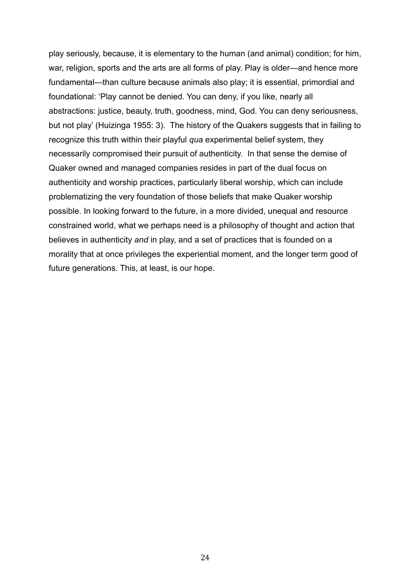play seriously, because, it is elementary to the human (and animal) condition; for him, war, religion, sports and the arts are all forms of play. Play is older—and hence more fundamental—than culture because animals also play; it is essential, primordial and foundational: 'Play cannot be denied. You can deny, if you like, nearly all abstractions: justice, beauty, truth, goodness, mind, God. You can deny seriousness, but not play' (Huizinga 1955: 3). The history of the Quakers suggests that in failing to recognize this truth within their playful *qua* experimental belief system, they necessarily compromised their pursuit of authenticity. In that sense the demise of Quaker owned and managed companies resides in part of the dual focus on authenticity and worship practices, particularly liberal worship, which can include problematizing the very foundation of those beliefs that make Quaker worship possible. In looking forward to the future, in a more divided, unequal and resource constrained world, what we perhaps need is a philosophy of thought and action that believes in authenticity *and* in play, and a set of practices that is founded on a morality that at once privileges the experiential moment, and the longer term good of future generations. This, at least, is our hope.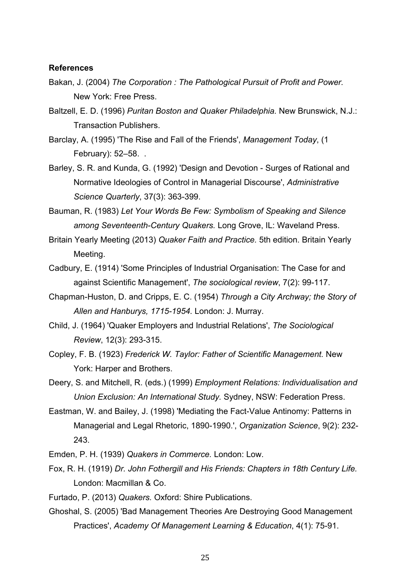#### **References**

- Bakan, J. (2004) *The Corporation : The Pathological Pursuit of Profit and Power.*  New York: Free Press.
- Baltzell, E. D. (1996) *Puritan Boston and Quaker Philadelphia.* New Brunswick, N.J.: Transaction Publishers.
- Barclay, A. (1995) 'The Rise and Fall of the Friends', *Management Today*, (1 February): 52–58. .
- Barley, S. R. and Kunda, G. (1992) 'Design and Devotion Surges of Rational and Normative Ideologies of Control in Managerial Discourse', *Administrative Science Quarterly*, 37(3): 363-399.

Bauman, R. (1983) *Let Your Words Be Few: Symbolism of Speaking and Silence among Seventeenth-Century Quakers.* Long Grove, IL: Waveland Press.

- Britain Yearly Meeting (2013) *Quaker Faith and Practice.* 5th edition. Britain Yearly Meeting.
- Cadbury, E. (1914) 'Some Principles of Industrial Organisation: The Case for and against Scientific Management', *The sociological review*, 7(2): 99-117.
- Chapman-Huston, D. and Cripps, E. C. (1954) *Through a City Archway; the Story of Allen and Hanburys, 1715-1954.* London: J. Murray.
- Child, J. (1964) 'Quaker Employers and Industrial Relations', *The Sociological Review*, 12(3): 293-315.
- Copley, F. B. (1923) *Frederick W. Taylor: Father of Scientific Management.* New York: Harper and Brothers.
- Deery, S. and Mitchell, R. (eds.) (1999) *Employment Relations: Individualisation and Union Exclusion: An International Study.* Sydney, NSW: Federation Press.
- Eastman, W. and Bailey, J. (1998) 'Mediating the Fact-Value Antinomy: Patterns in Managerial and Legal Rhetoric, 1890-1990.', *Organization Science*, 9(2): 232- 243.

Emden, P. H. (1939) *Quakers in Commerce.* London: Low.

- Fox, R. H. (1919) *Dr. John Fothergill and His Friends: Chapters in 18th Century Life.*  London: Macmillan & Co.
- Furtado, P. (2013) *Quakers.* Oxford: Shire Publications.
- Ghoshal, S. (2005) 'Bad Management Theories Are Destroying Good Management Practices', *Academy Of Management Learning & Education*, 4(1): 75-91.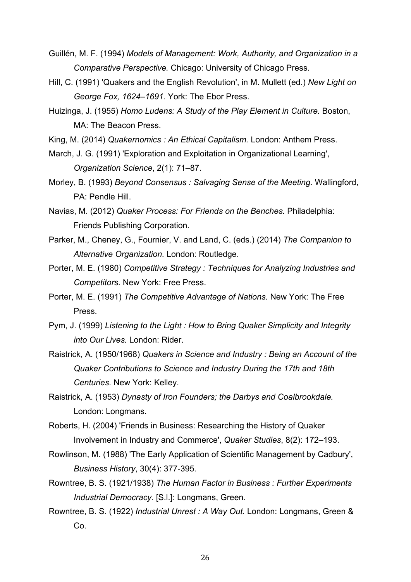- Guillén, M. F. (1994) *Models of Management: Work, Authority, and Organization in a Comparative Perspective.* Chicago: University of Chicago Press.
- Hill, C. (1991) 'Quakers and the English Revolution', in M. Mullett (ed.) *New Light on George Fox, 1624–1691.* York: The Ebor Press.
- Huizinga, J. (1955) *Homo Ludens: A Study of the Play Element in Culture.* Boston, MA: The Beacon Press.
- King, M. (2014) *Quakernomics : An Ethical Capitalism.* London: Anthem Press.
- March, J. G. (1991) 'Exploration and Exploitation in Organizational Learning', *Organization Science*, 2(1): 71–87.
- Morley, B. (1993) *Beyond Consensus : Salvaging Sense of the Meeting.* Wallingford, PA: Pendle Hill.
- Navias, M. (2012) *Quaker Process: For Friends on the Benches.* Philadelphia: Friends Publishing Corporation.
- Parker, M., Cheney, G., Fournier, V. and Land, C. (eds.) (2014) *The Companion to Alternative Organization.* London: Routledge.
- Porter, M. E. (1980) *Competitive Strategy : Techniques for Analyzing Industries and Competitors.* New York: Free Press.
- Porter, M. E. (1991) *The Competitive Advantage of Nations.* New York: The Free Press.
- Pym, J. (1999) *Listening to the Light : How to Bring Quaker Simplicity and Integrity into Our Lives.* London: Rider.
- Raistrick, A. (1950/1968) *Quakers in Science and Industry : Being an Account of the Quaker Contributions to Science and Industry During the 17th and 18th Centuries.* New York: Kelley.
- Raistrick, A. (1953) *Dynasty of Iron Founders; the Darbys and Coalbrookdale.*  London: Longmans.
- Roberts, H. (2004) 'Friends in Business: Researching the History of Quaker Involvement in Industry and Commerce', *Quaker Studies*, 8(2): 172–193.
- Rowlinson, M. (1988) 'The Early Application of Scientific Management by Cadbury', *Business History*, 30(4): 377-395.
- Rowntree, B. S. (1921/1938) *The Human Factor in Business : Further Experiments Industrial Democracy.* [S.l.]: Longmans, Green.
- Rowntree, B. S. (1922) *Industrial Unrest : A Way Out.* London: Longmans, Green & Co.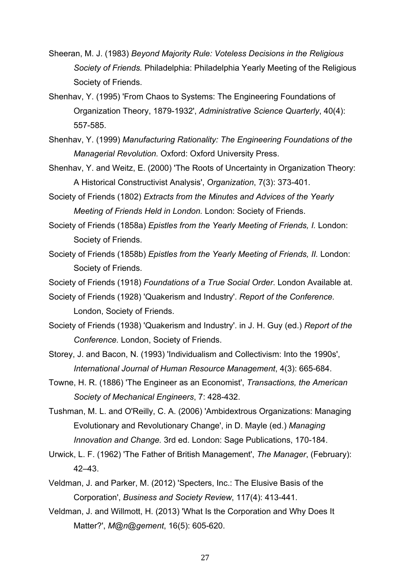- Sheeran, M. J. (1983) *Beyond Majority Rule: Voteless Decisions in the Religious Society of Friends.* Philadelphia: Philadelphia Yearly Meeting of the Religious Society of Friends.
- Shenhav, Y. (1995) 'From Chaos to Systems: The Engineering Foundations of Organization Theory, 1879-1932', *Administrative Science Quarterly*, 40(4): 557-585.
- Shenhav, Y. (1999) *Manufacturing Rationality: The Engineering Foundations of the Managerial Revolution.* Oxford: Oxford University Press.
- Shenhav, Y. and Weitz, E. (2000) 'The Roots of Uncertainty in Organization Theory: A Historical Constructivist Analysis', *Organization*, 7(3): 373-401.

Society of Friends (1802) *Extracts from the Minutes and Advices of the Yearly Meeting of Friends Held in London.* London: Society of Friends.

- Society of Friends (1858a) *Epistles from the Yearly Meeting of Friends, I.* London: Society of Friends.
- Society of Friends (1858b) *Epistles from the Yearly Meeting of Friends, II.* London: Society of Friends.
- Society of Friends (1918) *Foundations of a True Social Order*. London Available at.

Society of Friends (1928) 'Quakerism and Industry'. *Report of the Conference.*  London, Society of Friends.

- Society of Friends (1938) 'Quakerism and Industry'. in J. H. Guy (ed.) *Report of the Conference.* London, Society of Friends.
- Storey, J. and Bacon, N. (1993) 'Individualism and Collectivism: Into the 1990s', *International Journal of Human Resource Management*, 4(3): 665-684.
- Towne, H. R. (1886) 'The Engineer as an Economist', *Transactions, the American Society of Mechanical Engineers*, 7: 428-432.
- Tushman, M. L. and O'Reilly, C. A. (2006) 'Ambidextrous Organizations: Managing Evolutionary and Revolutionary Change', in D. Mayle (ed.) *Managing Innovation and Change.* 3rd ed. London: Sage Publications, 170-184.
- Urwick, L. F. (1962) 'The Father of British Management', *The Manager*, (February): 42–43.
- Veldman, J. and Parker, M. (2012) 'Specters, Inc.: The Elusive Basis of the Corporation', *Business and Society Review*, 117(4): 413-441.
- Veldman, J. and Willmott, H. (2013) 'What Is the Corporation and Why Does It Matter?', *M@n@gement*, 16(5): 605-620.